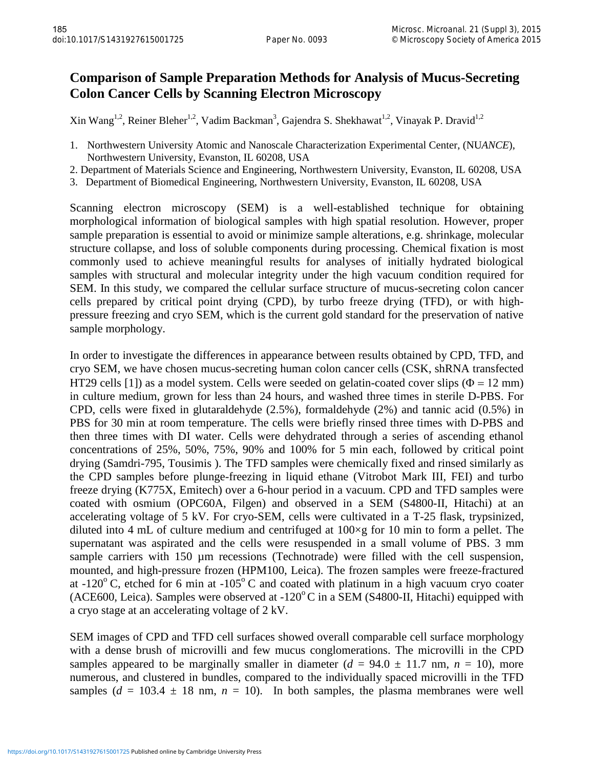## **Comparison of Sample Preparation Methods for Analysis of Mucus-Secreting Colon Cancer Cells by Scanning Electron Microscopy**

Xin Wang<sup>1,2</sup>, Reiner Bleher<sup>1,2</sup>, Vadim Backman<sup>3</sup>, Gajendra S. Shekhawat<sup>1,2</sup>, Vinayak P. Dravid<sup>1,2</sup>

- 1. Northwestern University Atomic and Nanoscale Characterization Experimental Center, (NU*ANCE*), Northwestern University, Evanston, IL 60208, USA
- 2. Department of Materials Science and Engineering, Northwestern University, Evanston, IL 60208, USA
- 3. Department of Biomedical Engineering, Northwestern University, Evanston, IL 60208, USA

Scanning electron microscopy (SEM) is a well-established technique for obtaining morphological information of biological samples with high spatial resolution. However, proper sample preparation is essential to avoid or minimize sample alterations, e.g. shrinkage, molecular structure collapse, and loss of soluble components during processing. Chemical fixation is most commonly used to achieve meaningful results for analyses of initially hydrated biological samples with structural and molecular integrity under the high vacuum condition required for SEM. In this study, we compared the cellular surface structure of mucus-secreting colon cancer cells prepared by critical point drying (CPD), by turbo freeze drying (TFD), or with highpressure freezing and cryo SEM, which is the current gold standard for the preservation of native sample morphology.

In order to investigate the differences in appearance between results obtained by CPD, TFD, and cryo SEM, we have chosen mucus-secreting human colon cancer cells (CSK, shRNA transfected HT29 cells [1]) as a model system. Cells were seeded on gelatin-coated cover slips ( $\Phi = 12$  mm) in culture medium, grown for less than 24 hours, and washed three times in sterile D-PBS. For CPD, cells were fixed in glutaraldehyde (2.5%), formaldehyde (2%) and tannic acid (0.5%) in PBS for 30 min at room temperature. The cells were briefly rinsed three times with D-PBS and then three times with DI water. Cells were dehydrated through a series of ascending ethanol concentrations of 25%, 50%, 75%, 90% and 100% for 5 min each, followed by critical point drying (Samdri-795, Tousimis ). The TFD samples were chemically fixed and rinsed similarly as the CPD samples before plunge-freezing in liquid ethane (Vitrobot Mark III, FEI) and turbo freeze drying (K775X, Emitech) over a 6-hour period in a vacuum. CPD and TFD samples were coated with osmium (OPC60A, Filgen) and observed in a SEM (S4800-II, Hitachi) at an accelerating voltage of 5 kV. For cryo-SEM, cells were cultivated in a T-25 flask, trypsinized, diluted into 4 mL of culture medium and centrifuged at  $100 \times g$  for 10 min to form a pellet. The supernatant was aspirated and the cells were resuspended in a small volume of PBS. 3 mm sample carriers with 150  $\mu$ m recessions (Technotrade) were filled with the cell suspension, mounted, and high-pressure frozen (HPM100, Leica). The frozen samples were freeze-fractured at -120 $\degree$  C, etched for 6 min at -105 $\degree$ C and coated with platinum in a high vacuum cryo coater (ACE600, Leica). Samples were observed at  $-120^{\circ}$ C in a SEM (S4800-II, Hitachi) equipped with a cryo stage at an accelerating voltage of 2 kV.

SEM images of CPD and TFD cell surfaces showed overall comparable cell surface morphology with a dense brush of microvilli and few mucus conglomerations. The microvilli in the CPD samples appeared to be marginally smaller in diameter  $(d = 94.0 \pm 11.7 \text{ nm}, n = 10)$ , more numerous, and clustered in bundles, compared to the individually spaced microvilli in the TFD samples  $(d = 103.4 \pm 18 \text{ nm}, n = 10)$ . In both samples, the plasma membranes were well